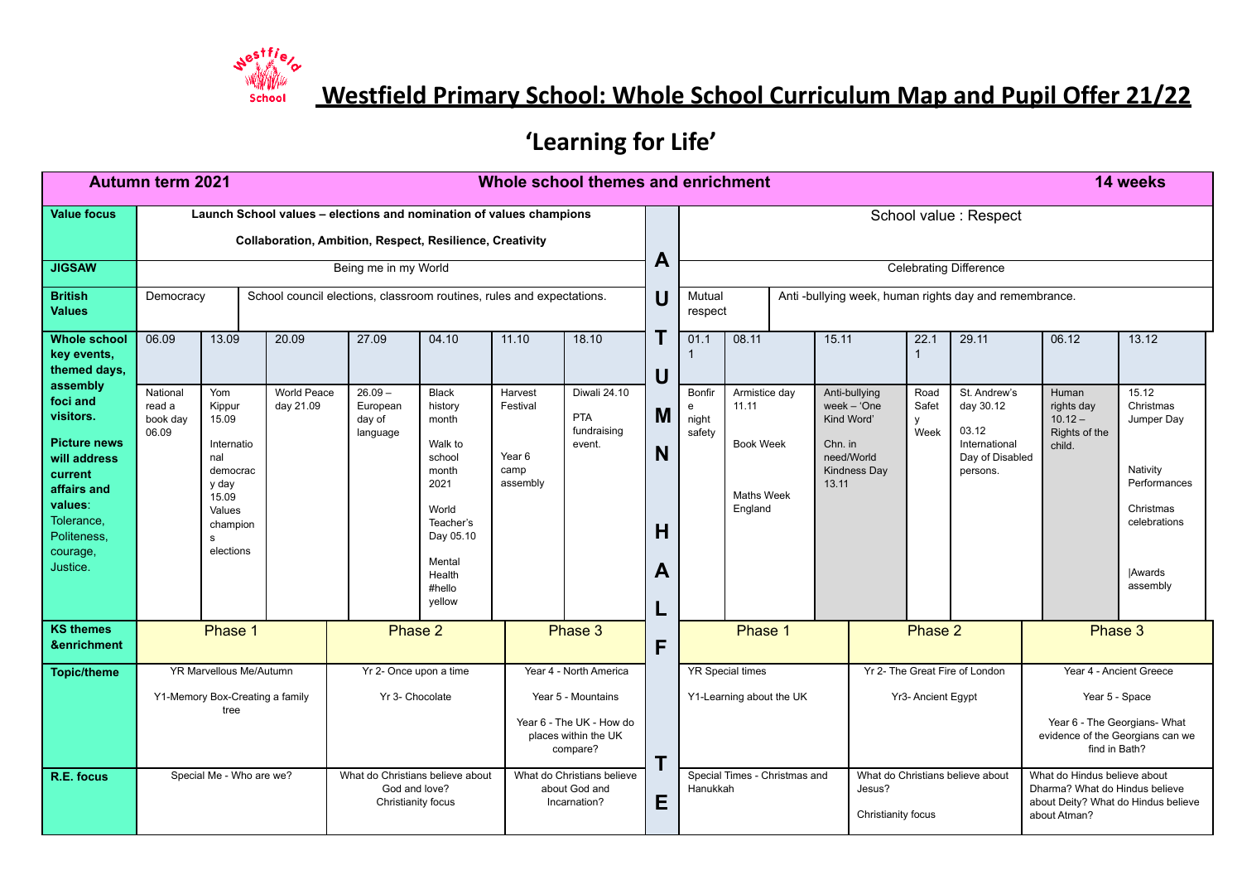

**Westfield Primary School: Whole School Curriculum Map and Pupil Offer 21/22**

## **'Learning for Life'**

|                                                                                                                                                                    | <b>Autumn term 2021</b><br>Whole school themes and enrichment                                                                   |                                                                                                                   |                          |                                             |                                                                                                                                                   |                                                              |                                                                                                              |                  |                                |                                                                            |                                |                                                              |                                                      |                                                                                    |                                                                                                               | 14 weeks                                                                                                        |
|--------------------------------------------------------------------------------------------------------------------------------------------------------------------|---------------------------------------------------------------------------------------------------------------------------------|-------------------------------------------------------------------------------------------------------------------|--------------------------|---------------------------------------------|---------------------------------------------------------------------------------------------------------------------------------------------------|--------------------------------------------------------------|--------------------------------------------------------------------------------------------------------------|------------------|--------------------------------|----------------------------------------------------------------------------|--------------------------------|--------------------------------------------------------------|------------------------------------------------------|------------------------------------------------------------------------------------|---------------------------------------------------------------------------------------------------------------|-----------------------------------------------------------------------------------------------------------------|
| <b>Value focus</b>                                                                                                                                                 | Launch School values - elections and nomination of values champions<br>Collaboration, Ambition, Respect, Resilience, Creativity |                                                                                                                   |                          |                                             |                                                                                                                                                   |                                                              |                                                                                                              |                  |                                | School value : Respect                                                     |                                |                                                              |                                                      |                                                                                    |                                                                                                               |                                                                                                                 |
| <b>JIGSAW</b>                                                                                                                                                      |                                                                                                                                 |                                                                                                                   |                          | Being me in my World                        |                                                                                                                                                   |                                                              |                                                                                                              | A                | <b>Celebrating Difference</b>  |                                                                            |                                |                                                              |                                                      |                                                                                    |                                                                                                               |                                                                                                                 |
| <b>British</b><br><b>Values</b>                                                                                                                                    | Democracy                                                                                                                       |                                                                                                                   |                          |                                             | School council elections, classroom routines, rules and expectations.                                                                             |                                                              |                                                                                                              | U                |                                | Mutual<br>Anti-bullying week, human rights day and remembrance.<br>respect |                                |                                                              |                                                      |                                                                                    |                                                                                                               |                                                                                                                 |
| <b>Whole school</b><br>key events,<br>themed days,                                                                                                                 | 06.09                                                                                                                           | 13.09                                                                                                             | 20.09                    | 27.09                                       | 04.10                                                                                                                                             | 11.10                                                        | 18.10                                                                                                        | U                | 01.1                           | 08.11                                                                      | 15.11                          |                                                              | 22.1<br>$\mathbf{1}$                                 | 29.11                                                                              | 06.12                                                                                                         | 13.12                                                                                                           |
| assembly<br>foci and<br>visitors.<br><b>Picture news</b><br>will address<br>current<br>affairs and<br>values:<br>Tolerance,<br>Politeness.<br>courage,<br>Justice. | National<br>read a<br>book day<br>06.09                                                                                         | Yom<br>Kippur<br>15.09<br>Internatio<br>nal<br>democrac<br>y day<br>15.09<br>Values<br>champion<br>s<br>elections | World Peace<br>day 21.09 | $26.09 -$<br>European<br>day of<br>language | <b>Black</b><br>history<br>month<br>Walk to<br>school<br>month<br>2021<br>World<br>Teacher's<br>Day 05.10<br>Mental<br>Health<br>#hello<br>vellow | Harvest<br>Festival<br>Year <sub>6</sub><br>camp<br>assembly | Diwali 24.10<br><b>PTA</b><br>fundraising<br>event.                                                          | M<br>N<br>Н<br>A | Bonfir<br>e<br>night<br>safety | Armistice day<br>11.11<br><b>Book Week</b><br>Maths Week<br>England        | Kind Word'<br>Chn. in<br>13.11 | Anti-bullying<br>week $-$ 'One<br>need/World<br>Kindness Day | Road<br>Safet<br><b>V</b><br>Week                    | St. Andrew's<br>day 30.12<br>03.12<br>International<br>Day of Disabled<br>persons. | Human<br>rights day<br>$10.12 -$<br>Rights of the<br>child.                                                   | 15.12<br>Christmas<br>Jumper Day<br>Nativity<br>Performances<br>Christmas<br>celebrations<br>Awards<br>assembly |
| <b>KS themes</b><br>&enrichment                                                                                                                                    |                                                                                                                                 | Phase 1                                                                                                           |                          |                                             | Phase 2                                                                                                                                           |                                                              | Phase 3                                                                                                      | F                | Phase 1<br>Phase 2             |                                                                            |                                |                                                              | Phase 3                                              |                                                                                    |                                                                                                               |                                                                                                                 |
| <b>Topic/theme</b>                                                                                                                                                 | YR Marvellous Me/Autumn<br>Y1-Memory Box-Creating a family<br>tree                                                              |                                                                                                                   |                          | Yr 2- Once upon a time<br>Yr 3- Chocolate   |                                                                                                                                                   |                                                              | Year 4 - North America<br>Year 5 - Mountains<br>Year 6 - The UK - How do<br>places within the UK<br>compare? |                  |                                | <b>YR Special times</b><br>Y1-Learning about the UK                        |                                |                                                              | Yr 2- The Great Fire of London<br>Yr3- Ancient Egypt |                                                                                    | Year 4 - Ancient Greece<br>Year 5 - Space<br>Year 6 - The Georgians- What<br>evidence of the Georgians can we |                                                                                                                 |
| R.E. focus                                                                                                                                                         | Special Me - Who are we?                                                                                                        |                                                                                                                   |                          | God and love?<br>Christianity focus         | What do Christians believe about                                                                                                                  |                                                              | What do Christians believe<br>about God and<br>Incarnation?                                                  | T<br>Е           | Hanukkah                       | Special Times - Christmas and                                              |                                | Jesus?<br>Christianity focus                                 |                                                      | What do Christians believe about                                                   | What do Hindus believe about<br>Dharma? What do Hindus believe<br>about Atman?                                | find in Bath?<br>about Deity? What do Hindus believe                                                            |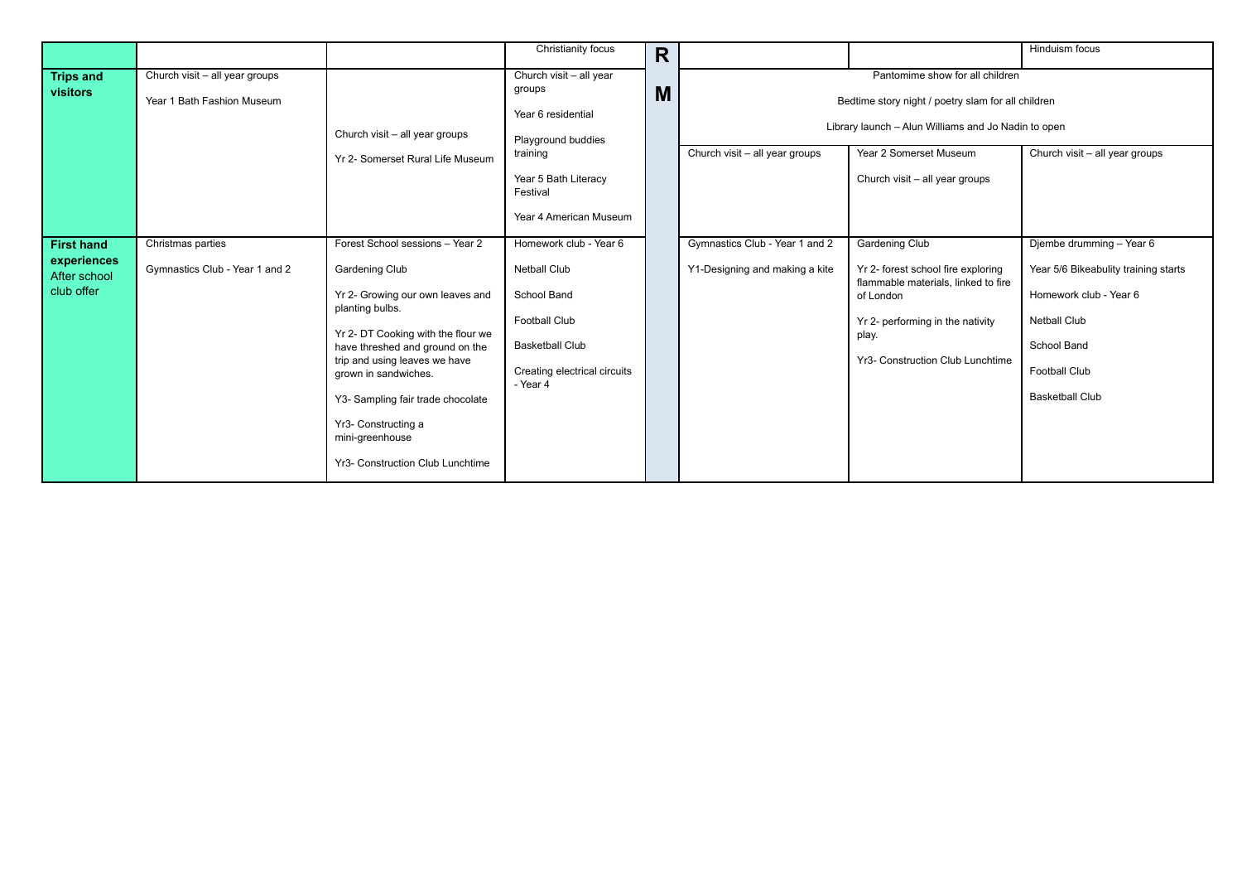|                                                                |                                                              |                                                                                                                                                                                                                                                                                                                                                                      | Christianity focus                                                                                                                                  | R |                                                                                                                                                                                                                                            |                                                                                                                                                                                           | Hinduism focus                                                                                                                                                                     |  |  |
|----------------------------------------------------------------|--------------------------------------------------------------|----------------------------------------------------------------------------------------------------------------------------------------------------------------------------------------------------------------------------------------------------------------------------------------------------------------------------------------------------------------------|-----------------------------------------------------------------------------------------------------------------------------------------------------|---|--------------------------------------------------------------------------------------------------------------------------------------------------------------------------------------------------------------------------------------------|-------------------------------------------------------------------------------------------------------------------------------------------------------------------------------------------|------------------------------------------------------------------------------------------------------------------------------------------------------------------------------------|--|--|
| <b>Trips and</b><br>visitors                                   | Church visit - all year groups<br>Year 1 Bath Fashion Museum | Church visit - all year groups                                                                                                                                                                                                                                                                                                                                       | Church visit - all year<br>groups<br>M<br>Year 6 residential<br>Playground buddies<br>training                                                      |   | Pantomime show for all children<br>Bedtime story night / poetry slam for all children<br>Library launch - Alun Williams and Jo Nadin to open<br>Church visit - all year groups<br>Year 2 Somerset Museum<br>Church visit - all year groups |                                                                                                                                                                                           |                                                                                                                                                                                    |  |  |
|                                                                |                                                              | Yr 2- Somerset Rural Life Museum                                                                                                                                                                                                                                                                                                                                     | Year 5 Bath Literacy<br>Festival<br>Year 4 American Museum                                                                                          |   |                                                                                                                                                                                                                                            | Church visit - all year groups                                                                                                                                                            |                                                                                                                                                                                    |  |  |
| <b>First hand</b><br>experiences<br>After school<br>club offer | Christmas parties<br>Gymnastics Club - Year 1 and 2          | Forest School sessions - Year 2<br><b>Gardening Club</b><br>Yr 2- Growing our own leaves and<br>planting bulbs.<br>Yr 2- DT Cooking with the flour we<br>have threshed and ground on the<br>trip and using leaves we have<br>grown in sandwiches.<br>Y3- Sampling fair trade chocolate<br>Yr3- Constructing a<br>mini-greenhouse<br>Yr3- Construction Club Lunchtime | Homework club - Year 6<br><b>Netball Club</b><br>School Band<br>Football Club<br><b>Basketball Club</b><br>Creating electrical circuits<br>- Year 4 |   | Gymnastics Club - Year 1 and 2<br>Y1-Designing and making a kite                                                                                                                                                                           | Gardening Club<br>Yr 2- forest school fire exploring<br>flammable materials, linked to fire<br>of London<br>Yr 2- performing in the nativity<br>play.<br>Yr3- Construction Club Lunchtime | Djembe drumming - Year 6<br>Year 5/6 Bikeabulity training starts<br>Homework club - Year 6<br><b>Netball Club</b><br>School Band<br><b>Football Club</b><br><b>Basketball Club</b> |  |  |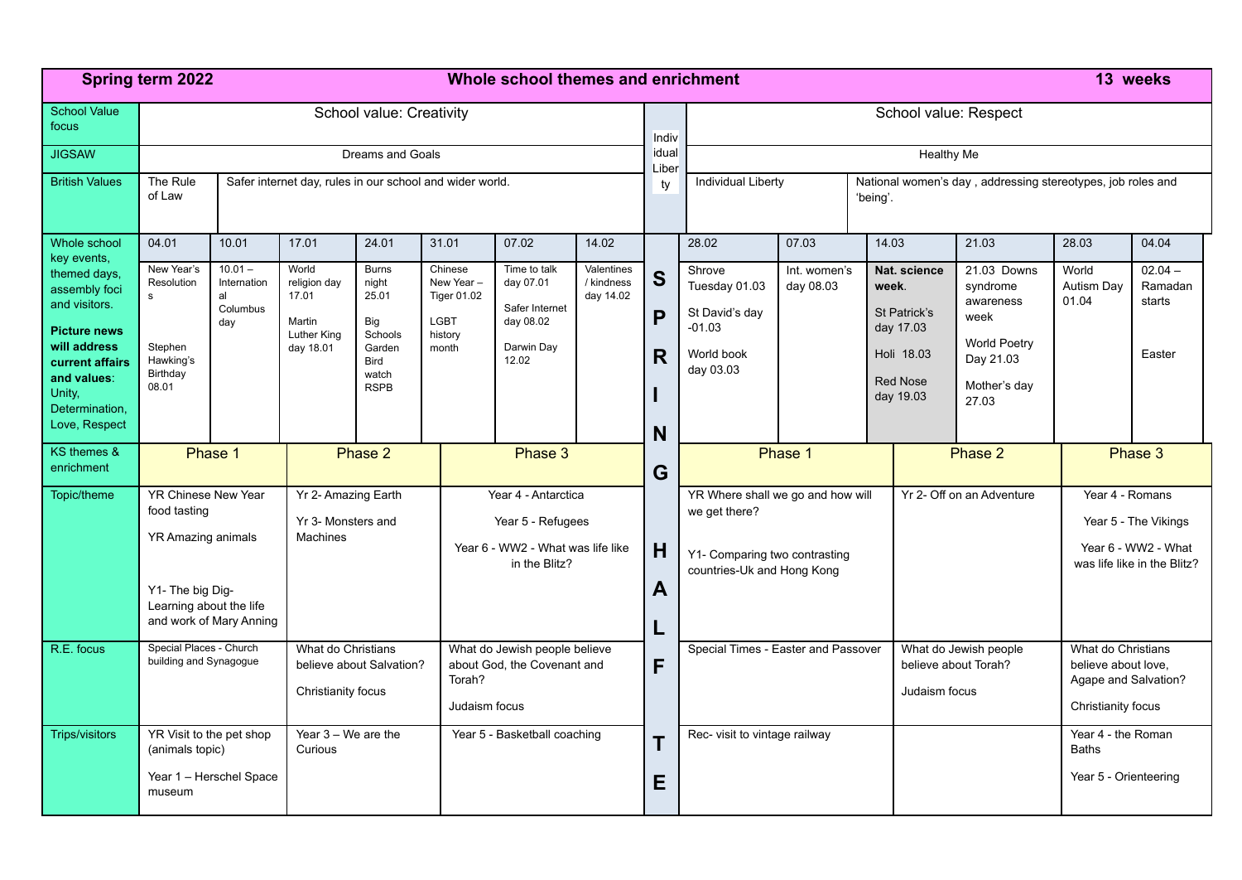|                                                                                                                                                                                     | Spring term 2022<br>Whole school themes and enrichment                                                                              |                                                          |                                                                      |                                                                                                   |                                                                                                |                                                                                 |                                       |                  | 13 weeks                                                                                                          |                                                                                                      |                                                                |                                                                                           |                                                                                                           |                              |                                                                            |  |  |
|-------------------------------------------------------------------------------------------------------------------------------------------------------------------------------------|-------------------------------------------------------------------------------------------------------------------------------------|----------------------------------------------------------|----------------------------------------------------------------------|---------------------------------------------------------------------------------------------------|------------------------------------------------------------------------------------------------|---------------------------------------------------------------------------------|---------------------------------------|------------------|-------------------------------------------------------------------------------------------------------------------|------------------------------------------------------------------------------------------------------|----------------------------------------------------------------|-------------------------------------------------------------------------------------------|-----------------------------------------------------------------------------------------------------------|------------------------------|----------------------------------------------------------------------------|--|--|
| <b>School Value</b><br>focus                                                                                                                                                        | School value: Creativity                                                                                                            |                                                          |                                                                      |                                                                                                   |                                                                                                |                                                                                 |                                       | Indiv            | School value: Respect                                                                                             |                                                                                                      |                                                                |                                                                                           |                                                                                                           |                              |                                                                            |  |  |
| <b>JIGSAW</b>                                                                                                                                                                       | Dreams and Goals                                                                                                                    |                                                          |                                                                      |                                                                                                   |                                                                                                |                                                                                 |                                       |                  | idual<br><b>Healthy Me</b>                                                                                        |                                                                                                      |                                                                |                                                                                           |                                                                                                           |                              |                                                                            |  |  |
| <b>British Values</b>                                                                                                                                                               | The Rule<br>of Law                                                                                                                  | Safer internet day, rules in our school and wider world. |                                                                      |                                                                                                   |                                                                                                |                                                                                 |                                       | Liber<br>ty      |                                                                                                                   | <b>Individual Liberty</b><br>National women's day, addressing stereotypes, job roles and<br>'being'. |                                                                |                                                                                           |                                                                                                           |                              |                                                                            |  |  |
| Whole school                                                                                                                                                                        | 04.01                                                                                                                               | 10.01                                                    | 17.01                                                                | 24.01                                                                                             | 31.01                                                                                          | 07.02                                                                           | 14.02                                 |                  | 28.02                                                                                                             | 07.03                                                                                                | 14.03                                                          |                                                                                           | 21.03                                                                                                     | 28.03                        | 04.04                                                                      |  |  |
| key events,<br>themed days,<br>assembly foci<br>and visitors.<br><b>Picture news</b><br>will address<br>current affairs<br>and values:<br>Unity,<br>Determination,<br>Love, Respect | New Year's<br>Resolution<br>s<br>Stephen<br>Hawking's<br>Birthday<br>08.01                                                          | $10.01 -$<br>Internation<br>al<br>Columbus<br>day        | World<br>religion day<br>17.01<br>Martin<br>Luther King<br>day 18.01 | <b>Burns</b><br>night<br>25.01<br>Big<br>Schools<br>Garden<br><b>Bird</b><br>watch<br><b>RSPB</b> | Chinese<br>New Year-<br><b>Tiger 01.02</b><br><b>LGBT</b><br>history<br>month                  | Time to talk<br>day 07.01<br>Safer Internet<br>day 08.02<br>Darwin Day<br>12.02 | Valentines<br>/ kindness<br>day 14.02 | S<br>P<br>R<br>N | Shrove<br>Tuesday 01.03<br>St David's day<br>$-01.03$<br>World book<br>day 03.03                                  | Int. women's<br>day 08.03                                                                            |                                                                | Nat. science<br>week.<br>St Patrick's<br>day 17.03<br>Holi 18.03<br>Red Nose<br>day 19.03 | 21.03 Downs<br>syndrome<br>awareness<br>week<br><b>World Poetry</b><br>Day 21.03<br>Mother's day<br>27.03 | World<br>Autism Day<br>01.04 | $02.04 -$<br>Ramadan<br>starts<br>Easter                                   |  |  |
| KS themes &<br>enrichment                                                                                                                                                           |                                                                                                                                     | Phase 1                                                  |                                                                      | Phase 2                                                                                           |                                                                                                | Phase 3                                                                         |                                       | G                | Phase 1<br>Phase 2                                                                                                |                                                                                                      |                                                                |                                                                                           | Phase 3                                                                                                   |                              |                                                                            |  |  |
| Topic/theme                                                                                                                                                                         | YR Chinese New Year<br>food tasting<br>YR Amazing animals<br>Y1- The big Dig-<br>Learning about the life<br>and work of Mary Anning |                                                          | Yr 2- Amazing Earth<br>Yr 3- Monsters and<br><b>Machines</b>         |                                                                                                   | Year 4 - Antarctica<br>Year 5 - Refugees<br>Year 6 - WW2 - What was life like<br>in the Blitz? |                                                                                 |                                       | H<br>A<br>L      | YR Where shall we go and how will<br>we get there?<br>Y1- Comparing two contrasting<br>countries-Uk and Hong Kong |                                                                                                      |                                                                |                                                                                           | Yr 2- Off on an Adventure                                                                                 | Year 4 - Romans              | Year 5 - The Vikings<br>Year 6 - WW2 - What<br>was life like in the Blitz? |  |  |
| R.E. focus                                                                                                                                                                          | Special Places - Church<br>What do Christians<br>building and Synagogue<br>believe about Salvation?<br>Christianity focus           |                                                          |                                                                      | Torah?                                                                                            | What do Jewish people believe<br>about God, the Covenant and<br>Judaism focus                  |                                                                                 | F                                     |                  | Special Times - Easter and Passover                                                                               |                                                                                                      | What do Jewish people<br>believe about Torah?<br>Judaism focus |                                                                                           | What do Christians<br>believe about love.<br>Agape and Salvation?<br>Christianity focus                   |                              |                                                                            |  |  |
| <b>Trips/visitors</b>                                                                                                                                                               | YR Visit to the pet shop<br>(animals topic)<br>museum                                                                               | Year 1 - Herschel Space                                  | Year $3 - We$ are the<br>Curious                                     |                                                                                                   |                                                                                                | Year 5 - Basketball coaching                                                    |                                       | Т<br>Е           | Rec- visit to vintage railway                                                                                     |                                                                                                      |                                                                | Year 4 - the Roman<br><b>Baths</b><br>Year 5 - Orienteering                               |                                                                                                           |                              |                                                                            |  |  |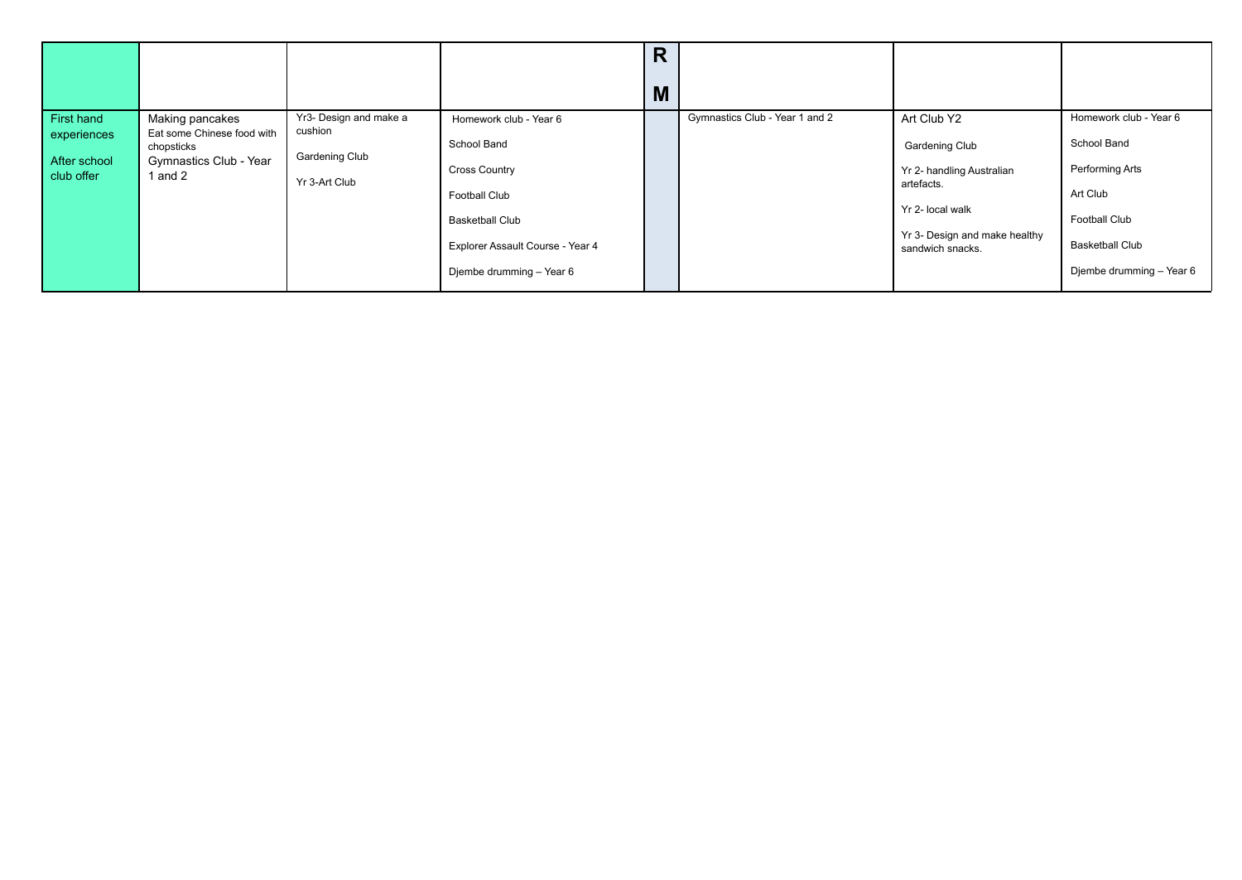|                                           |                                                                                 |                                            |                                                                                | R<br>M |                                |                                                                                      |                                                                    |
|-------------------------------------------|---------------------------------------------------------------------------------|--------------------------------------------|--------------------------------------------------------------------------------|--------|--------------------------------|--------------------------------------------------------------------------------------|--------------------------------------------------------------------|
| First hand                                | Making pancakes                                                                 | Yr3- Design and make a                     | Homework club - Year 6                                                         |        | Gymnastics Club - Year 1 and 2 | Art Club Y2                                                                          | Homework club - Year 6                                             |
| experiences<br>After school<br>club offer | Eat some Chinese food with<br>chopsticks<br>Gymnastics Club - Year<br>1 and $2$ | cushion<br>Gardening Club<br>Yr 3-Art Club | School Band<br>Cross Country<br><b>Football Club</b><br><b>Basketball Club</b> |        |                                | <b>Gardening Club</b><br>Yr 2- handling Australian<br>artefacts.<br>Yr 2- local walk | School Band<br>Performing Arts<br>Art Club<br><b>Football Club</b> |
|                                           |                                                                                 |                                            | Explorer Assault Course - Year 4<br>Djembe drumming - Year 6                   |        |                                | Yr 3- Design and make healthy<br>sandwich snacks.                                    | <b>Basketball Club</b><br>Djembe drumming - Year 6                 |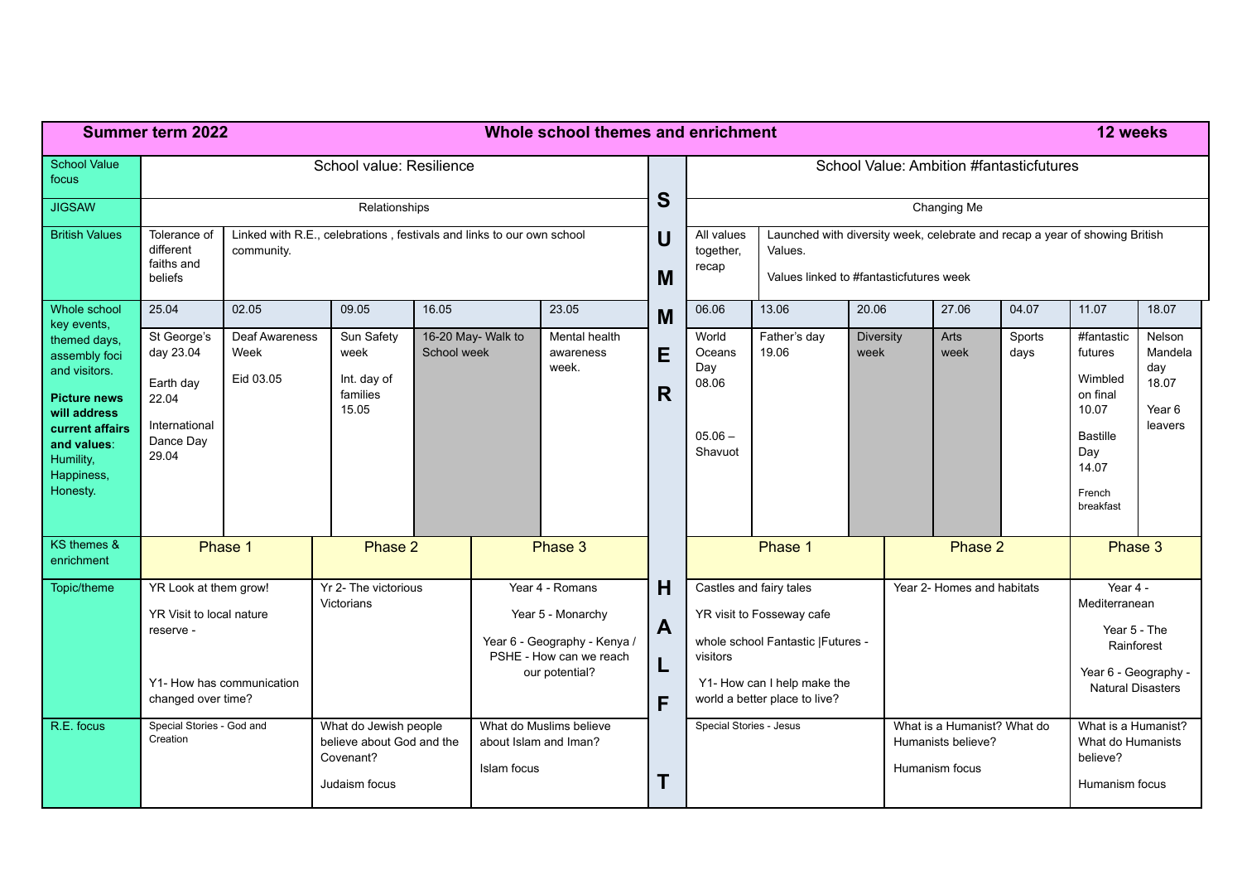|                                                                                                                                                                | <b>Summer term 2022</b>                                                                                                   |                                            |                                                                       | Whole school themes and enrichment<br>12 weeks |                                                                                                                   |                                     |          |                                                                                                                                                            |                                                                                                                                   |                                                                     |              |                                                                        |                                                                                                             |                                                                                                                 |                                                        |
|----------------------------------------------------------------------------------------------------------------------------------------------------------------|---------------------------------------------------------------------------------------------------------------------------|--------------------------------------------|-----------------------------------------------------------------------|------------------------------------------------|-------------------------------------------------------------------------------------------------------------------|-------------------------------------|----------|------------------------------------------------------------------------------------------------------------------------------------------------------------|-----------------------------------------------------------------------------------------------------------------------------------|---------------------------------------------------------------------|--------------|------------------------------------------------------------------------|-------------------------------------------------------------------------------------------------------------|-----------------------------------------------------------------------------------------------------------------|--------------------------------------------------------|
| <b>School Value</b><br>focus                                                                                                                                   |                                                                                                                           | School value: Resilience                   | S                                                                     | School Value: Ambition #fantasticfutures       |                                                                                                                   |                                     |          |                                                                                                                                                            |                                                                                                                                   |                                                                     |              |                                                                        |                                                                                                             |                                                                                                                 |                                                        |
| <b>JIGSAW</b>                                                                                                                                                  |                                                                                                                           | Relationships                              |                                                                       |                                                |                                                                                                                   |                                     |          |                                                                                                                                                            | Changing Me                                                                                                                       |                                                                     |              |                                                                        |                                                                                                             |                                                                                                                 |                                                        |
| <b>British Values</b>                                                                                                                                          | Tolerance of<br>different<br>faiths and<br>beliefs                                                                        | community.                                 | Linked with R.E., celebrations, festivals and links to our own school |                                                |                                                                                                                   |                                     |          | All values<br>together,<br>recap                                                                                                                           | Launched with diversity week, celebrate and recap a year of showing British<br>Values.<br>Values linked to #fantasticfutures week |                                                                     |              |                                                                        |                                                                                                             |                                                                                                                 |                                                        |
| Whole school<br>key events,                                                                                                                                    | 25.04                                                                                                                     | 02.05                                      | 09.05                                                                 | 16.05                                          |                                                                                                                   | 23.05                               | M        | 06.06                                                                                                                                                      | 13.06                                                                                                                             | 20.06                                                               |              | 27.06                                                                  | 04.07                                                                                                       | 11.07                                                                                                           | 18.07                                                  |
| themed days,<br>assembly foci<br>and visitors.<br><b>Picture news</b><br>will address<br>current affairs<br>and values:<br>Humility,<br>Happiness,<br>Honesty. | St George's<br>day 23.04<br>Earth day<br>22.04<br>International<br>Dance Day<br>29.04                                     | <b>Deaf Awareness</b><br>Week<br>Eid 03.05 | Sun Safety<br>week<br>Int. day of<br>families<br>15.05                | School week                                    | 16-20 May- Walk to                                                                                                | Mental health<br>awareness<br>week. | E<br>R.  | World<br>Oceans<br>Day<br>08.06<br>$05.06 -$<br>Shavuot                                                                                                    | Father's day<br><b>Diversity</b><br>19.06<br>week                                                                                 |                                                                     | Arts<br>week |                                                                        | Sports<br>days                                                                                              | #fantastic<br>futures<br>Wimbled<br>on final<br>10.07<br><b>Bastille</b><br>Day<br>14.07<br>French<br>breakfast | Nelson<br>Mandela<br>day<br>18.07<br>Year 6<br>leavers |
| KS themes &<br>enrichment                                                                                                                                      |                                                                                                                           | Phase 1                                    | Phase 2                                                               |                                                | Phase 3                                                                                                           |                                     |          | Phase 1                                                                                                                                                    |                                                                                                                                   |                                                                     | Phase 2      |                                                                        |                                                                                                             | Phase 3                                                                                                         |                                                        |
| Topic/theme                                                                                                                                                    | YR Look at them grow!<br>YR Visit to local nature<br>reserve -<br>Y1- How has communication<br>changed over time?         |                                            | Yr 2- The victorious<br>Victorians                                    |                                                | Year 4 - Romans<br>Year 5 - Monarchy<br>Year 6 - Geography - Kenya /<br>PSHE - How can we reach<br>our potential? | н<br>$\mathbf{A}$<br>F              | visitors | Castles and fairy tales<br>YR visit to Fosseway cafe<br>whole school Fantastic   Futures -<br>Y1- How can I help make the<br>world a better place to live? |                                                                                                                                   | Year 2- Homes and habitats                                          |              |                                                                        | Year 4 -<br>Mediterranean<br>Year 5 - The<br>Rainforest<br>Year 6 - Geography -<br><b>Natural Disasters</b> |                                                                                                                 |                                                        |
| R.E. focus                                                                                                                                                     | Special Stories - God and<br>What do Jewish people<br>Creation<br>believe about God and the<br>Covenant?<br>Judaism focus |                                            | What do Muslims believe<br>about Islam and Iman?<br>Islam focus<br>Т  |                                                |                                                                                                                   | Special Stories - Jesus             |          |                                                                                                                                                            |                                                                                                                                   | What is a Humanist? What do<br>Humanists believe?<br>Humanism focus |              | What is a Humanist?<br>What do Humanists<br>believe?<br>Humanism focus |                                                                                                             |                                                                                                                 |                                                        |